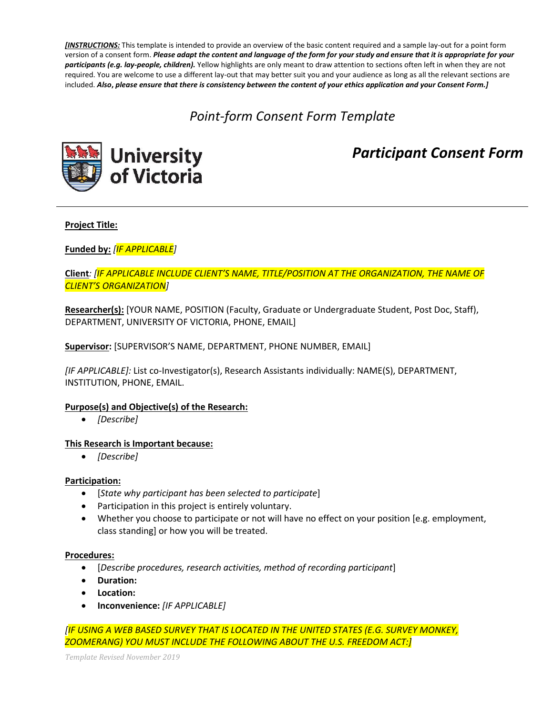*[INSTRUCTIONS:* This template is intended to provide an overview of the basic content required and a sample lay-out for a point form version of a consent form. *Please adapt the content and language of the form for your study and ensure that it is appropriate for your participants (e.g. lay-people, children).* Yellow highlights are only meant to draw attention to sections often left in when they are not required. You are welcome to use a different lay-out that may better suit you and your audience as long as all the relevant sections are included. *Also***,** *please ensure that there is consistency between the content of your ethics application and your Consent Form.]*

# *Point-form Consent Form Template*



*Participant Consent Form*

### **Project Title:**

**Funded by:** *[IF APPLICABLE]*

**Client***: [IF APPLICABLE INCLUDE CLIENT'S NAME, TITLE/POSITION AT THE ORGANIZATION, THE NAME OF CLIENT'S ORGANIZATION]*

**Researcher(s):** [YOUR NAME, POSITION (Faculty, Graduate or Undergraduate Student, Post Doc, Staff), DEPARTMENT, UNIVERSITY OF VICTORIA, PHONE, EMAIL]

**Supervisor:** [SUPERVISOR'S NAME, DEPARTMENT, PHONE NUMBER, EMAIL]

*[IF APPLICABLE]:* List co-Investigator(s), Research Assistants individually: NAME(S), DEPARTMENT, INSTITUTION, PHONE, EMAIL.

#### **Purpose(s) and Objective(s) of the Research:**

*[Describe]*

#### **This Research is Important because:**

*[Describe]*

#### **Participation:**

- [*State why participant has been selected to participate*]
- Participation in this project is entirely voluntary.
- Whether you choose to participate or not will have no effect on your position [e.g. employment, class standing] or how you will be treated.

#### **Procedures:**

- [*Describe procedures, research activities, method of recording participant*]
- **Duration:**
- **Location:**
- **Inconvenience:** *[IF APPLICABLE]*

*[IF USING A WEB BASED SURVEY THAT IS LOCATED IN THE UNITED STATES (E.G. SURVEY MONKEY, ZOOMERANG) YOU MUST INCLUDE THE FOLLOWING ABOUT THE U.S. FREEDOM ACT:]*

*Template Revised November 2019*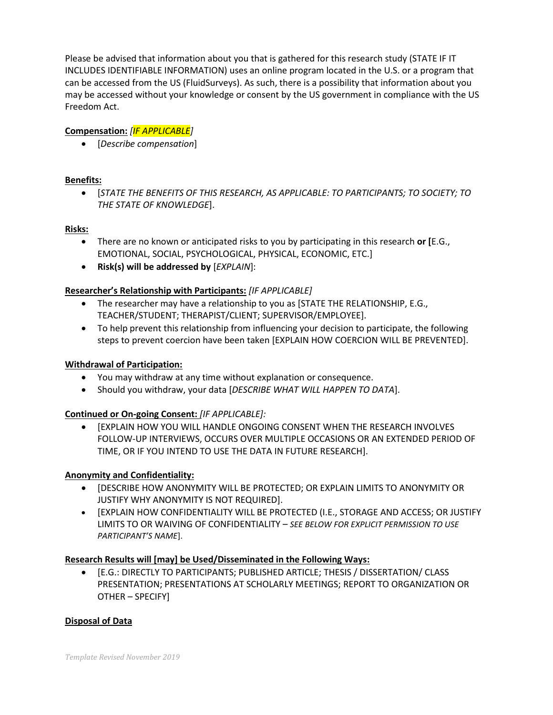Please be advised that information about you that is gathered for this research study (STATE IF IT INCLUDES IDENTIFIABLE INFORMATION) uses an online program located in the U.S. or a program that can be accessed from the US (FluidSurveys). As such, there is a possibility that information about you may be accessed without your knowledge or consent by the US government in compliance with the US Freedom Act.

## **Compensation:** *[IF APPLICABLE]*

[*Describe compensation*]

## **Benefits:**

 [*STATE THE BENEFITS OF THIS RESEARCH, AS APPLICABLE: TO PARTICIPANTS; TO SOCIETY; TO THE STATE OF KNOWLEDGE*].

## **Risks:**

- There are no known or anticipated risks to you by participating in this research **or [**E.G., EMOTIONAL, SOCIAL, PSYCHOLOGICAL, PHYSICAL, ECONOMIC, ETC.]
- **Risk(s) will be addressed by** [*EXPLAIN*]:

## **Researcher's Relationship with Participants:** *[IF APPLICABLE]*

- The researcher may have a relationship to you as [STATE THE RELATIONSHIP, E.G., TEACHER/STUDENT; THERAPIST/CLIENT; SUPERVISOR/EMPLOYEE].
- To help prevent this relationship from influencing your decision to participate, the following steps to prevent coercion have been taken [EXPLAIN HOW COERCION WILL BE PREVENTED].

## **Withdrawal of Participation:**

- You may withdraw at any time without explanation or consequence.
- Should you withdraw, your data [*DESCRIBE WHAT WILL HAPPEN TO DATA*].

## **Continued or On-going Consent:** *[IF APPLICABLE]:*

 [EXPLAIN HOW YOU WILL HANDLE ONGOING CONSENT WHEN THE RESEARCH INVOLVES FOLLOW-UP INTERVIEWS, OCCURS OVER MULTIPLE OCCASIONS OR AN EXTENDED PERIOD OF TIME, OR IF YOU INTEND TO USE THE DATA IN FUTURE RESEARCH].

#### **Anonymity and Confidentiality:**

- **•** IDESCRIBE HOW ANONYMITY WILL BE PROTECTED; OR EXPLAIN LIMITS TO ANONYMITY OR JUSTIFY WHY ANONYMITY IS NOT REQUIRED].
- [EXPLAIN HOW CONFIDENTIALITY WILL BE PROTECTED (I.E., STORAGE AND ACCESS; OR JUSTIFY LIMITS TO OR WAIVING OF CONFIDENTIALITY – *SEE BELOW FOR EXPLICIT PERMISSION TO USE PARTICIPANT'S NAME*].

## **Research Results will [may] be Used/Disseminated in the Following Ways:**

 [E.G.: DIRECTLY TO PARTICIPANTS; PUBLISHED ARTICLE; THESIS / DISSERTATION/ CLASS PRESENTATION; PRESENTATIONS AT SCHOLARLY MEETINGS; REPORT TO ORGANIZATION OR OTHER – SPECIFY]

#### **Disposal of Data**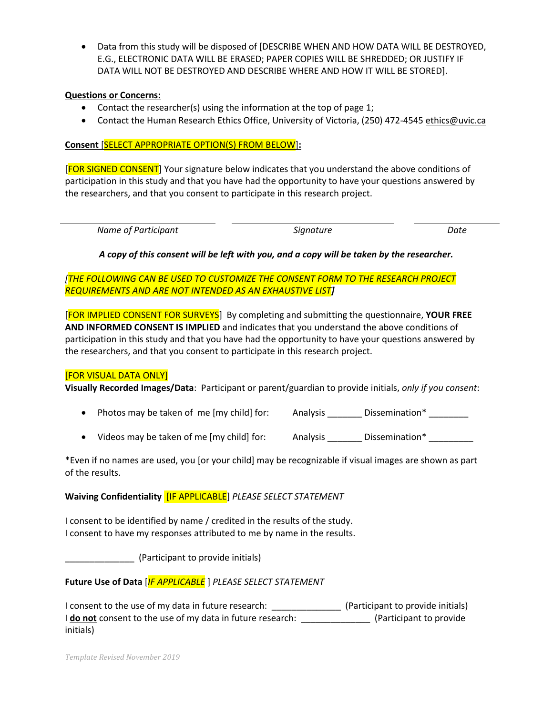• Data from this study will be disposed of [DESCRIBE WHEN AND HOW DATA WILL BE DESTROYED, E.G., ELECTRONIC DATA WILL BE ERASED; PAPER COPIES WILL BE SHREDDED; OR JUSTIFY IF DATA WILL NOT BE DESTROYED AND DESCRIBE WHERE AND HOW IT WILL BE STORED].

#### **Questions or Concerns:**

- Contact the researcher(s) using the information at the top of page 1;
- Contact the Human Research Ethics Office, University of Victoria, (250) 472-4545 [ethics@uvic.ca](mailto:ethics@uvic.ca)

### **Consent** [SELECT APPROPRIATE OPTION(S) FROM BELOW]**:**

[FOR SIGNED CONSENT] Your signature below indicates that you understand the above conditions of participation in this study and that you have had the opportunity to have your questions answered by the researchers, and that you consent to participate in this research project.

| Name of Participant<br>Signature<br>Date |
|------------------------------------------|
|------------------------------------------|

### *A copy of this consent will be left with you, and a copy will be taken by the researcher.*

## *[THE FOLLOWING CAN BE USED TO CUSTOMIZE THE CONSENT FORM TO THE RESEARCH PROJECT REQUIREMENTS AND ARE NOT INTENDED AS AN EXHAUSTIVE LIST]*

[FOR IMPLIED CONSENT FOR SURVEYS] By completing and submitting the questionnaire, **YOUR FREE AND INFORMED CONSENT IS IMPLIED** and indicates that you understand the above conditions of participation in this study and that you have had the opportunity to have your questions answered by the researchers, and that you consent to participate in this research project.

#### [FOR VISUAL DATA ONLY]

**Visually Recorded Images/Data**: Participant or parent/guardian to provide initials, *only if you consent*:

- Photos may be taken of me [my child] for: Analysis \_\_\_\_\_\_\_ Dissemination\* \_\_\_\_\_\_\_\_
- Videos may be taken of me [my child] for: Analysis Dissemination\*

\*Even if no names are used, you [or your child] may be recognizable if visual images are shown as part of the results.

#### **Waiving Confidentiality** [IF APPLICABLE] *PLEASE SELECT STATEMENT*

I consent to be identified by name / credited in the results of the study. I consent to have my responses attributed to me by name in the results.

\_\_\_\_\_\_\_\_\_\_\_\_\_\_ (Participant to provide initials)

## **Future Use of Data** [*IF APPLICABLE* ] *PLEASE SELECT STATEMENT*

I consent to the use of my data in future research: \_\_\_\_\_\_\_\_\_\_\_\_\_\_\_\_\_\_\_\_\_\_\_\_\_\_\_\_\_ (Participant to provide initials) I **do not** consent to the use of my data in future research: \_\_\_\_\_\_\_\_\_\_\_\_\_\_\_\_\_ (Participant to provide initials)